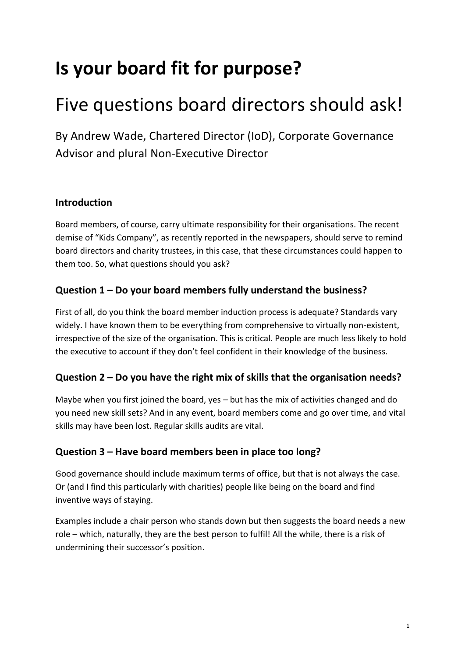# **Is your board fit for purpose?**

# Five questions board directors should ask!

By Andrew Wade, Chartered Director (IoD), Corporate Governance Advisor and plural Non-Executive Director

# **Introduction**

Board members, of course, carry ultimate responsibility for their organisations. The recent demise of "Kids Company", as recently reported in the newspapers, should serve to remind board directors and charity trustees, in this case, that these circumstances could happen to them too. So, what questions should you ask?

# **Question 1 – Do your board members fully understand the business?**

First of all, do you think the board member induction process is adequate? Standards vary widely. I have known them to be everything from comprehensive to virtually non-existent, irrespective of the size of the organisation. This is critical. People are much less likely to hold the executive to account if they don't feel confident in their knowledge of the business.

#### **Question 2 – Do you have the right mix of skills that the organisation needs?**

Maybe when you first joined the board, yes – but has the mix of activities changed and do you need new skill sets? And in any event, board members come and go over time, and vital skills may have been lost. Regular skills audits are vital.

#### **Question 3 – Have board members been in place too long?**

Good governance should include maximum terms of office, but that is not always the case. Or (and I find this particularly with charities) people like being on the board and find inventive ways of staying.

Examples include a chair person who stands down but then suggests the board needs a new role – which, naturally, they are the best person to fulfil! All the while, there is a risk of undermining their successor's position.